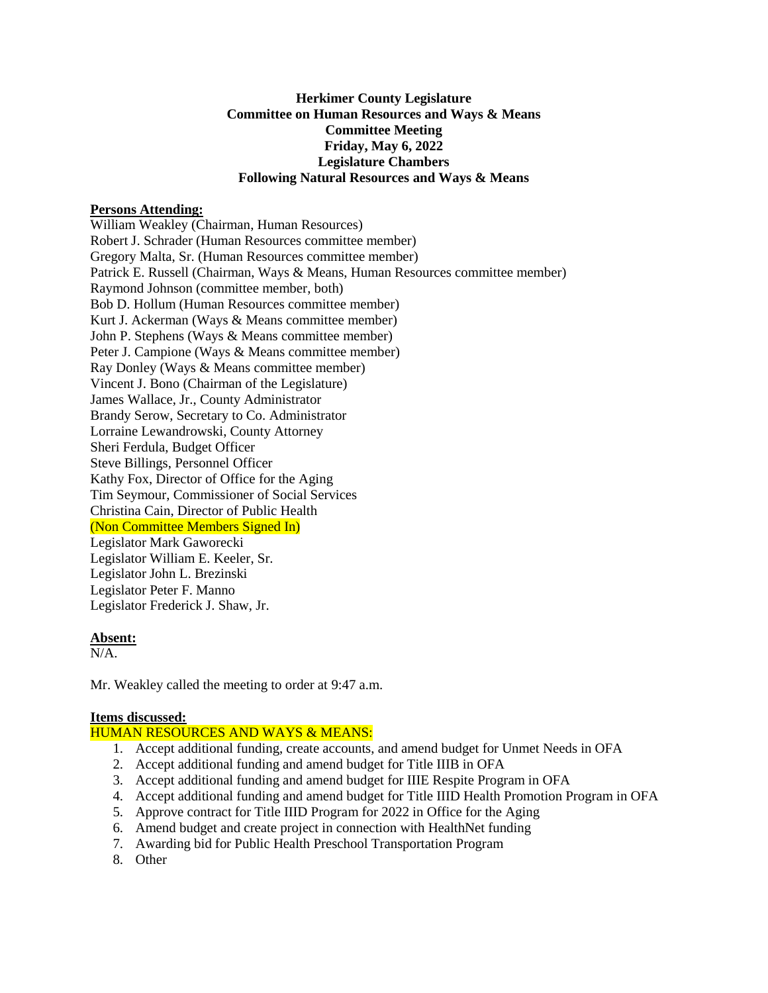# **Herkimer County Legislature Committee on Human Resources and Ways & Means Committee Meeting Friday, May 6, 2022 Legislature Chambers Following Natural Resources and Ways & Means**

### **Persons Attending:**

William Weakley (Chairman, Human Resources) Robert J. Schrader (Human Resources committee member) Gregory Malta, Sr. (Human Resources committee member) Patrick E. Russell (Chairman, Ways & Means, Human Resources committee member) Raymond Johnson (committee member, both) Bob D. Hollum (Human Resources committee member) Kurt J. Ackerman (Ways & Means committee member) John P. Stephens (Ways & Means committee member) Peter J. Campione (Ways & Means committee member) Ray Donley (Ways & Means committee member) Vincent J. Bono (Chairman of the Legislature) James Wallace, Jr., County Administrator Brandy Serow, Secretary to Co. Administrator Lorraine Lewandrowski, County Attorney Sheri Ferdula, Budget Officer Steve Billings, Personnel Officer Kathy Fox, Director of Office for the Aging Tim Seymour, Commissioner of Social Services Christina Cain, Director of Public Health (Non Committee Members Signed In) Legislator Mark Gaworecki Legislator William E. Keeler, Sr. Legislator John L. Brezinski Legislator Peter F. Manno Legislator Frederick J. Shaw, Jr.

#### **Absent:**

N/A.

Mr. Weakley called the meeting to order at 9:47 a.m.

### **Items discussed:**

### HUMAN RESOURCES AND WAYS & MEANS:

- 1. Accept additional funding, create accounts, and amend budget for Unmet Needs in OFA
- 2. Accept additional funding and amend budget for Title IIIB in OFA
- 3. Accept additional funding and amend budget for IIIE Respite Program in OFA
- 4. Accept additional funding and amend budget for Title IIID Health Promotion Program in OFA
- 5. Approve contract for Title IIID Program for 2022 in Office for the Aging
- 6. Amend budget and create project in connection with HealthNet funding
- 7. Awarding bid for Public Health Preschool Transportation Program
- 8. Other